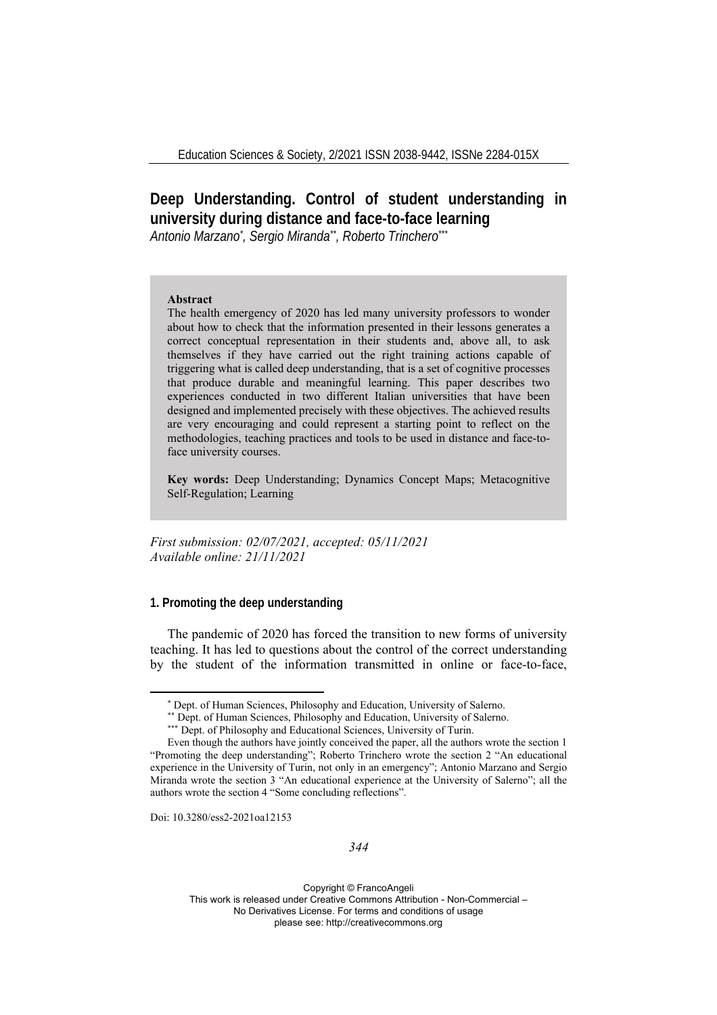# **Deep Understanding. Control of student understanding in university during distance and face-to-face learning**

*Antonio Marzano\* , Sergio Miranda\*\*, Roberto Trinchero\*\*\**

#### **Abstract**

The health emergency of 2020 has led many university professors to wonder about how to check that the information presented in their lessons generates a correct conceptual representation in their students and, above all, to ask themselves if they have carried out the right training actions capable of triggering what is called deep understanding, that is a set of cognitive processes that produce durable and meaningful learning. This paper describes two experiences conducted in two different Italian universities that have been designed and implemented precisely with these objectives. The achieved results are very encouraging and could represent a starting point to reflect on the methodologies, teaching practices and tools to be used in distance and face-toface university courses.

**Key words:** Deep Understanding; Dynamics Concept Maps; Metacognitive Self-Regulation; Learning

*First submission: 02/07/2021, accepted: 05/11/2021 Available online: 21/11/2021*

## **1. Promoting the deep understanding**

The pandemic of 2020 has forced the transition to new forms of university teaching. It has led to questions about the control of the correct understanding by the student of the information transmitted in online or face-to-face,

Doi: 10.3280/ess2-2021oa12153

<sup>\*</sup> Dept. of Human Sciences, Philosophy and Education, University of Salerno. \*\* Dept. of Human Sciences, Philosophy and Education, University of Salerno. \*\*\* Dept. of Philosophy and Educational Sciences, University of Turin.

Even though the authors have jointly conceived the paper, all the authors wrote the section 1 "Promoting the deep understanding"; Roberto Trinchero wrote the section 2 "An educational experience in the University of Turin, not only in an emergency"; Antonio Marzano and Sergio Miranda wrote the section 3 "An educational experience at the University of Salerno"; all the authors wrote the section 4 "Some concluding reflections".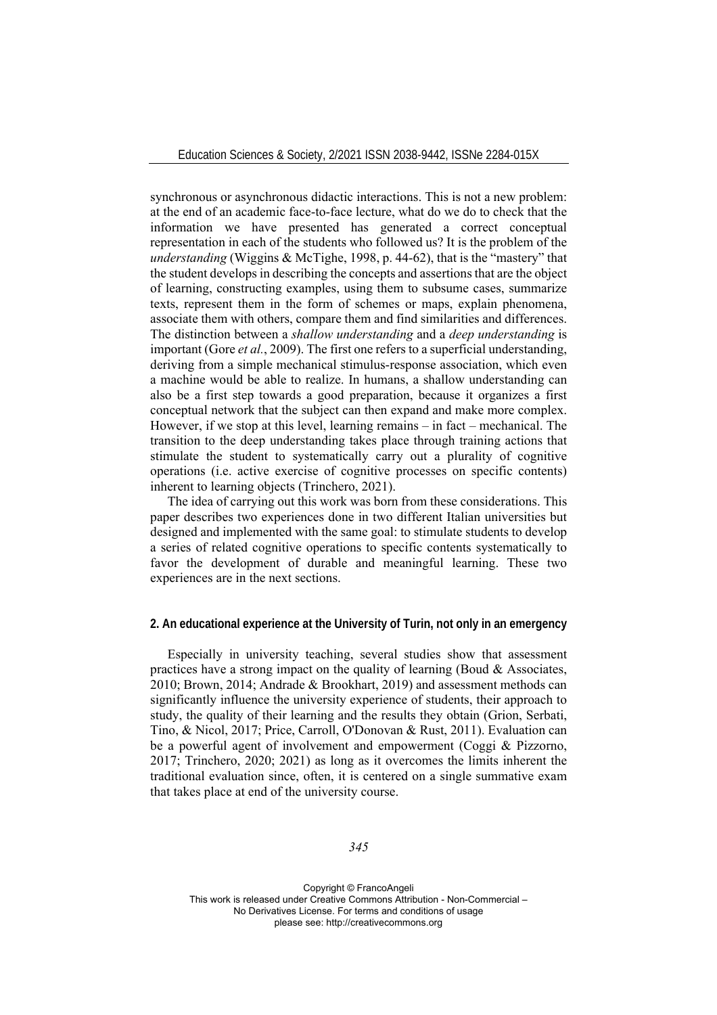synchronous or asynchronous didactic interactions. This is not a new problem: at the end of an academic face-to-face lecture, what do we do to check that the information we have presented has generated a correct conceptual representation in each of the students who followed us? It is the problem of the *understanding* (Wiggins & McTighe, 1998, p. 44-62), that is the "mastery" that the student develops in describing the concepts and assertions that are the object of learning, constructing examples, using them to subsume cases, summarize texts, represent them in the form of schemes or maps, explain phenomena, associate them with others, compare them and find similarities and differences. The distinction between a *shallow understanding* and a *deep understanding* is important (Gore *et al.*, 2009). The first one refers to a superficial understanding, deriving from a simple mechanical stimulus-response association, which even a machine would be able to realize. In humans, a shallow understanding can also be a first step towards a good preparation, because it organizes a first conceptual network that the subject can then expand and make more complex. However, if we stop at this level, learning remains – in fact – mechanical. The transition to the deep understanding takes place through training actions that stimulate the student to systematically carry out a plurality of cognitive operations (i.e. active exercise of cognitive processes on specific contents) inherent to learning objects (Trinchero, 2021).

The idea of carrying out this work was born from these considerations. This paper describes two experiences done in two different Italian universities but designed and implemented with the same goal: to stimulate students to develop a series of related cognitive operations to specific contents systematically to favor the development of durable and meaningful learning. These two experiences are in the next sections.

## **2. An educational experience at the University of Turin, not only in an emergency**

Especially in university teaching, several studies show that assessment practices have a strong impact on the quality of learning (Boud  $\&$  Associates, 2010; Brown, 2014; Andrade & Brookhart, 2019) and assessment methods can significantly influence the university experience of students, their approach to study, the quality of their learning and the results they obtain (Grion, Serbati, Tino, & Nicol, 2017; Price, Carroll, O'Donovan & Rust, 2011). Evaluation can be a powerful agent of involvement and empowerment (Coggi & Pizzorno, 2017; Trinchero, 2020; 2021) as long as it overcomes the limits inherent the traditional evaluation since, often, it is centered on a single summative exam that takes place at end of the university course.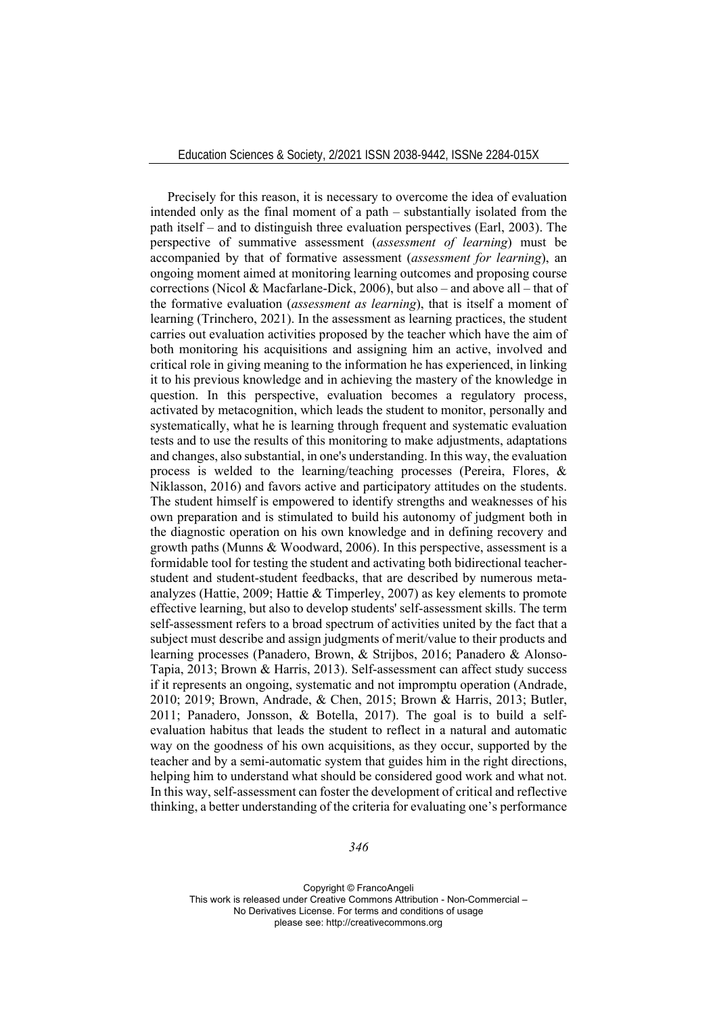Precisely for this reason, it is necessary to overcome the idea of evaluation intended only as the final moment of a path – substantially isolated from the path itself – and to distinguish three evaluation perspectives (Earl, 2003). The perspective of summative assessment (*assessment of learning*) must be accompanied by that of formative assessment (*assessment for learning*), an ongoing moment aimed at monitoring learning outcomes and proposing course corrections (Nicol & Macfarlane-Dick, 2006), but also – and above all – that of the formative evaluation (*assessment as learning*), that is itself a moment of learning (Trinchero, 2021). In the assessment as learning practices, the student carries out evaluation activities proposed by the teacher which have the aim of both monitoring his acquisitions and assigning him an active, involved and critical role in giving meaning to the information he has experienced, in linking it to his previous knowledge and in achieving the mastery of the knowledge in question. In this perspective, evaluation becomes a regulatory process, activated by metacognition, which leads the student to monitor, personally and systematically, what he is learning through frequent and systematic evaluation tests and to use the results of this monitoring to make adjustments, adaptations and changes, also substantial, in one's understanding. In this way, the evaluation process is welded to the learning/teaching processes (Pereira, Flores, & Niklasson, 2016) and favors active and participatory attitudes on the students. The student himself is empowered to identify strengths and weaknesses of his own preparation and is stimulated to build his autonomy of judgment both in the diagnostic operation on his own knowledge and in defining recovery and growth paths (Munns & Woodward, 2006). In this perspective, assessment is a formidable tool for testing the student and activating both bidirectional teacherstudent and student-student feedbacks, that are described by numerous metaanalyzes (Hattie, 2009; Hattie & Timperley, 2007) as key elements to promote effective learning, but also to develop students' self-assessment skills. The term self-assessment refers to a broad spectrum of activities united by the fact that a subject must describe and assign judgments of merit/value to their products and learning processes (Panadero, Brown, & Strijbos, 2016; Panadero & Alonso-Tapia, 2013; Brown & Harris, 2013). Self-assessment can affect study success if it represents an ongoing, systematic and not impromptu operation (Andrade, 2010; 2019; Brown, Andrade, & Chen, 2015; Brown & Harris, 2013; Butler, 2011; Panadero, Jonsson, & Botella, 2017). The goal is to build a selfevaluation habitus that leads the student to reflect in a natural and automatic way on the goodness of his own acquisitions, as they occur, supported by the teacher and by a semi-automatic system that guides him in the right directions, helping him to understand what should be considered good work and what not. In this way, self-assessment can foster the development of critical and reflective thinking, a better understanding of the criteria for evaluating one's performance

*346*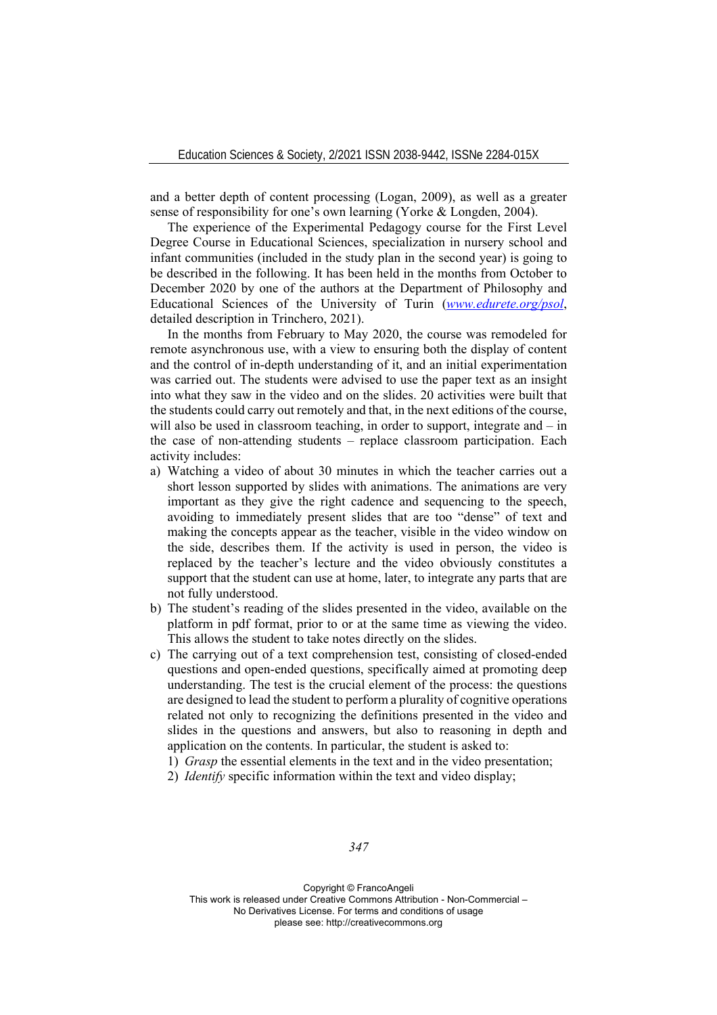and a better depth of content processing (Logan, 2009), as well as a greater sense of responsibility for one's own learning (Yorke & Longden, 2004).

The experience of the Experimental Pedagogy course for the First Level Degree Course in Educational Sciences, specialization in nursery school and infant communities (included in the study plan in the second year) is going to be described in the following. It has been held in the months from October to December 2020 by one of the authors at the Department of Philosophy and Educational Sciences of the University of Turin (*www.edurete.org/psol*, detailed description in Trinchero, 2021).

In the months from February to May 2020, the course was remodeled for remote asynchronous use, with a view to ensuring both the display of content and the control of in-depth understanding of it, and an initial experimentation was carried out. The students were advised to use the paper text as an insight into what they saw in the video and on the slides. 20 activities were built that the students could carry out remotely and that, in the next editions of the course, will also be used in classroom teaching, in order to support, integrate and – in the case of non-attending students – replace classroom participation. Each activity includes:

- a) Watching a video of about 30 minutes in which the teacher carries out a short lesson supported by slides with animations. The animations are very important as they give the right cadence and sequencing to the speech, avoiding to immediately present slides that are too "dense" of text and making the concepts appear as the teacher, visible in the video window on the side, describes them. If the activity is used in person, the video is replaced by the teacher's lecture and the video obviously constitutes a support that the student can use at home, later, to integrate any parts that are not fully understood.
- b) The student's reading of the slides presented in the video, available on the platform in pdf format, prior to or at the same time as viewing the video. This allows the student to take notes directly on the slides.
- c) The carrying out of a text comprehension test, consisting of closed-ended questions and open-ended questions, specifically aimed at promoting deep understanding. The test is the crucial element of the process: the questions are designed to lead the student to perform a plurality of cognitive operations related not only to recognizing the definitions presented in the video and slides in the questions and answers, but also to reasoning in depth and application on the contents. In particular, the student is asked to:
	- 1) *Grasp* the essential elements in the text and in the video presentation;
	- 2) *Identify* specific information within the text and video display;

*347*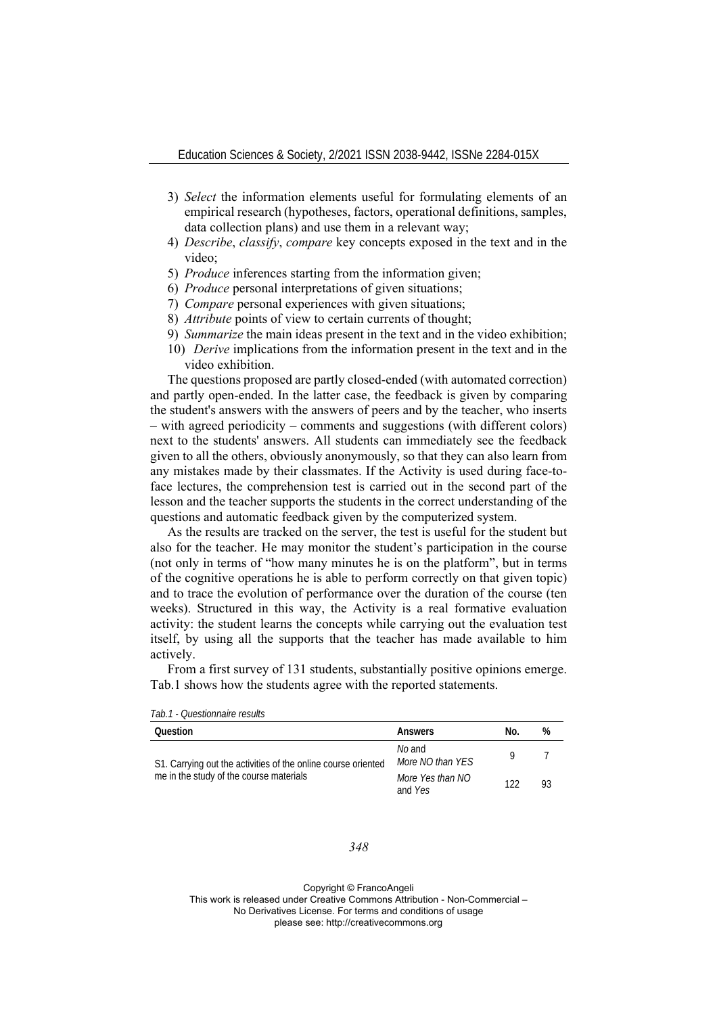- 3) *Select* the information elements useful for formulating elements of an empirical research (hypotheses, factors, operational definitions, samples, data collection plans) and use them in a relevant way;
- 4) *Describe*, *classify*, *compare* key concepts exposed in the text and in the video;
- 5) *Produce* inferences starting from the information given;
- 6) *Produce* personal interpretations of given situations;
- 7) *Compare* personal experiences with given situations;
- 8) *Attribute* points of view to certain currents of thought;
- 9) *Summarize* the main ideas present in the text and in the video exhibition;
- 10) *Derive* implications from the information present in the text and in the video exhibition.

The questions proposed are partly closed-ended (with automated correction) and partly open-ended. In the latter case, the feedback is given by comparing the student's answers with the answers of peers and by the teacher, who inserts – with agreed periodicity – comments and suggestions (with different colors) next to the students' answers. All students can immediately see the feedback given to all the others, obviously anonymously, so that they can also learn from any mistakes made by their classmates. If the Activity is used during face-toface lectures, the comprehension test is carried out in the second part of the lesson and the teacher supports the students in the correct understanding of the questions and automatic feedback given by the computerized system.

As the results are tracked on the server, the test is useful for the student but also for the teacher. He may monitor the student's participation in the course (not only in terms of "how many minutes he is on the platform", but in terms of the cognitive operations he is able to perform correctly on that given topic) and to trace the evolution of performance over the duration of the course (ten weeks). Structured in this way, the Activity is a real formative evaluation activity: the student learns the concepts while carrying out the evaluation test itself, by using all the supports that the teacher has made available to him actively.

From a first survey of 131 students, substantially positive opinions emerge. Tab.1 shows how the students agree with the reported statements.

*Tab.1 - Questionnaire results* 

| Question                                                                                                 | Answers                     | No. | %  |
|----------------------------------------------------------------------------------------------------------|-----------------------------|-----|----|
| S1. Carrying out the activities of the online course oriented<br>me in the study of the course materials | No and<br>More NO than YES  |     |    |
|                                                                                                          | More Yes than NO<br>and Yes | 122 | 93 |

### *348*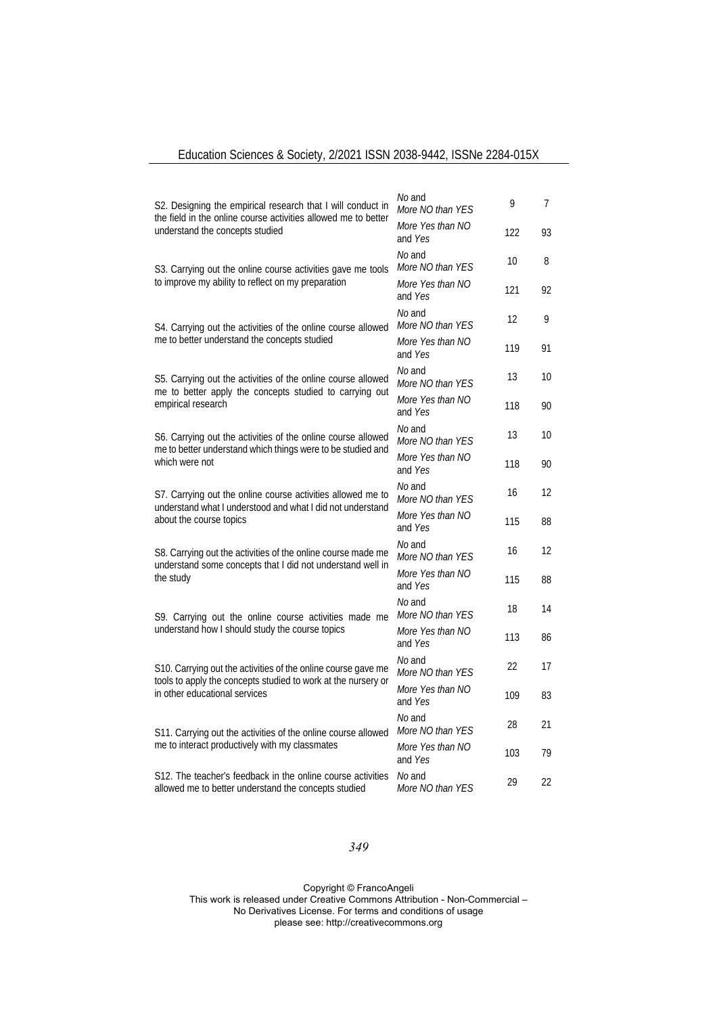## Education Sciences & Society, 2/2021 ISSN 2038-9442, ISSNe 2284-015X

| S2. Designing the empirical research that I will conduct in                                                                                          | No and<br>More NO than YES                                                                                                 | 9                           | 7   |                            |
|------------------------------------------------------------------------------------------------------------------------------------------------------|----------------------------------------------------------------------------------------------------------------------------|-----------------------------|-----|----------------------------|
| the field in the online course activities allowed me to better<br>understand the concepts studied                                                    |                                                                                                                            | More Yes than NO<br>and Yes | 122 | 93                         |
|                                                                                                                                                      | S3. Carrying out the online course activities gave me tools                                                                | No and<br>More NO than YES  | 10  | 8                          |
|                                                                                                                                                      | to improve my ability to reflect on my preparation                                                                         | More Yes than NO<br>and Yes | 121 | 92                         |
| S4. Carrying out the activities of the online course allowed<br>me to better understand the concepts studied                                         | No and<br>More NO than YES                                                                                                 | 12                          | 9   |                            |
|                                                                                                                                                      | More Yes than NO<br>and Yes                                                                                                | 119                         | 91  |                            |
|                                                                                                                                                      | S5. Carrying out the activities of the online course allowed<br>me to better apply the concepts studied to carrying out    | No and<br>More NO than YES  | 13  | 10                         |
|                                                                                                                                                      | empirical research                                                                                                         | More Yes than NO<br>and Yes | 118 | 90                         |
| S6. Carrying out the activities of the online course allowed<br>me to better understand which things were to be studied and                          | No and<br>More NO than YES                                                                                                 | 13                          | 10  |                            |
|                                                                                                                                                      | which were not                                                                                                             | More Yes than NO<br>and Yes | 118 | 90                         |
| S7. Carrying out the online course activities allowed me to<br>understand what I understood and what I did not understand<br>about the course topics |                                                                                                                            | No and<br>More NO than YES  | 16  | 12                         |
|                                                                                                                                                      | More Yes than NO<br>and Yes                                                                                                | 115                         | 88  |                            |
|                                                                                                                                                      | S8. Carrying out the activities of the online course made me<br>understand some concepts that I did not understand well in | No and<br>More NO than YES  | 16  | 12                         |
|                                                                                                                                                      | the study                                                                                                                  | More Yes than NO<br>and Yes | 115 | 88                         |
|                                                                                                                                                      | S9. Carrying out the online course activities made me                                                                      | No and<br>More NO than YES  | 18  | 14                         |
|                                                                                                                                                      | understand how I should study the course topics                                                                            | More Yes than NO<br>and Yes | 113 | 86                         |
| tools to apply the concepts studied to work at the nursery or<br>in other educational services                                                       | S10. Carrying out the activities of the online course gave me                                                              | No and<br>More NO than YES  | 22  | 17<br>83<br>21<br>79<br>22 |
|                                                                                                                                                      | More Yes than NO<br>and Yes                                                                                                | 109                         |     |                            |
|                                                                                                                                                      | S11. Carrying out the activities of the online course allowed                                                              | No and<br>More NO than YES  | 28  |                            |
|                                                                                                                                                      | me to interact productively with my classmates                                                                             | More Yes than NO<br>and Yes | 103 |                            |
|                                                                                                                                                      | S12. The teacher's feedback in the online course activities<br>allowed me to better understand the concepts studied        | No and<br>More NO than YES  | 29  |                            |

## *349*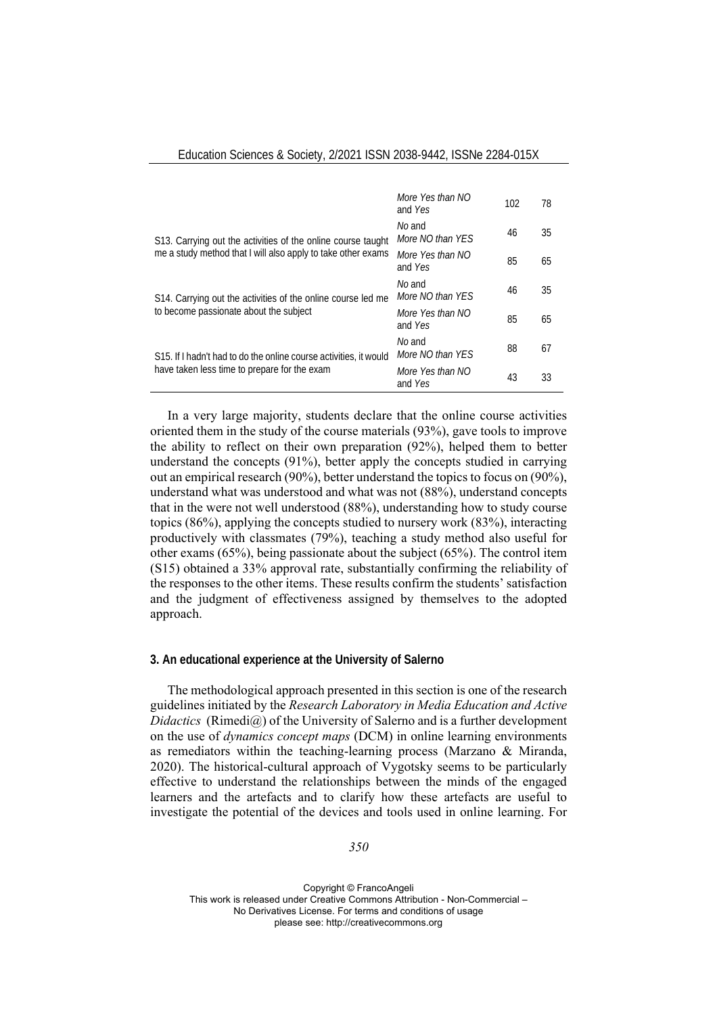|                                                                                                                              | More Yes than NO<br>and Yes | 102 | 78 |
|------------------------------------------------------------------------------------------------------------------------------|-----------------------------|-----|----|
| S13. Carrying out the activities of the online course taught<br>me a study method that I will also apply to take other exams | No and<br>More NO than YES  | 46  | 35 |
|                                                                                                                              | More Yes than NO<br>and Yes | 85  | 65 |
| S14. Carrying out the activities of the online course led me<br>to become passionate about the subject                       | No and<br>More NO than YES  | 46  | 35 |
|                                                                                                                              | More Yes than NO<br>and Yes | 85  | 65 |
| S15. If I hadn't had to do the online course activities, it would<br>have taken less time to prepare for the exam            | No and<br>More NO than YES  | 88  | 67 |
|                                                                                                                              | More Yes than NO<br>and Yes | 43  | 33 |

In a very large majority, students declare that the online course activities oriented them in the study of the course materials (93%), gave tools to improve the ability to reflect on their own preparation (92%), helped them to better understand the concepts (91%), better apply the concepts studied in carrying out an empirical research (90%), better understand the topics to focus on (90%), understand what was understood and what was not (88%), understand concepts that in the were not well understood (88%), understanding how to study course topics (86%), applying the concepts studied to nursery work (83%), interacting productively with classmates (79%), teaching a study method also useful for other exams (65%), being passionate about the subject (65%). The control item (S15) obtained a 33% approval rate, substantially confirming the reliability of the responses to the other items. These results confirm the students' satisfaction and the judgment of effectiveness assigned by themselves to the adopted approach.

#### **3. An educational experience at the University of Salerno**

The methodological approach presented in this section is one of the research guidelines initiated by the *Research Laboratory in Media Education and Active*   $Didactics$  (Rimedi $(\widehat{\alpha})$ ) of the University of Salerno and is a further development on the use of *dynamics concept maps* (DCM) in online learning environments as remediators within the teaching-learning process (Marzano & Miranda, 2020). The historical-cultural approach of Vygotsky seems to be particularly effective to understand the relationships between the minds of the engaged learners and the artefacts and to clarify how these artefacts are useful to investigate the potential of the devices and tools used in online learning. For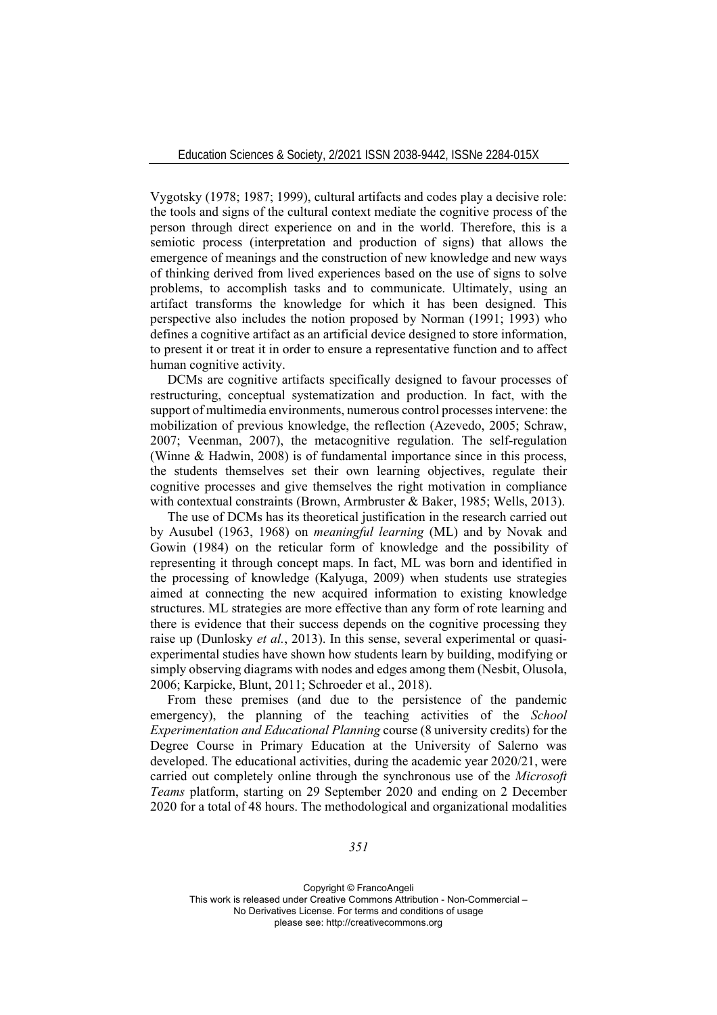Vygotsky (1978; 1987; 1999), cultural artifacts and codes play a decisive role: the tools and signs of the cultural context mediate the cognitive process of the person through direct experience on and in the world. Therefore, this is a semiotic process (interpretation and production of signs) that allows the emergence of meanings and the construction of new knowledge and new ways of thinking derived from lived experiences based on the use of signs to solve problems, to accomplish tasks and to communicate. Ultimately, using an artifact transforms the knowledge for which it has been designed. This perspective also includes the notion proposed by Norman (1991; 1993) who defines a cognitive artifact as an artificial device designed to store information, to present it or treat it in order to ensure a representative function and to affect human cognitive activity.

DCMs are cognitive artifacts specifically designed to favour processes of restructuring, conceptual systematization and production. In fact, with the support of multimedia environments, numerous control processes intervene: the mobilization of previous knowledge, the reflection (Azevedo, 2005; Schraw, 2007; Veenman, 2007), the metacognitive regulation. The self-regulation (Winne & Hadwin, 2008) is of fundamental importance since in this process, the students themselves set their own learning objectives, regulate their cognitive processes and give themselves the right motivation in compliance with contextual constraints (Brown, Armbruster & Baker, 1985; Wells, 2013).

The use of DCMs has its theoretical justification in the research carried out by Ausubel (1963, 1968) on *meaningful learning* (ML) and by Novak and Gowin (1984) on the reticular form of knowledge and the possibility of representing it through concept maps. In fact, ML was born and identified in the processing of knowledge (Kalyuga, 2009) when students use strategies aimed at connecting the new acquired information to existing knowledge structures. ML strategies are more effective than any form of rote learning and there is evidence that their success depends on the cognitive processing they raise up (Dunlosky *et al.*, 2013). In this sense, several experimental or quasiexperimental studies have shown how students learn by building, modifying or simply observing diagrams with nodes and edges among them (Nesbit, Olusola, 2006; Karpicke, Blunt, 2011; Schroeder et al., 2018).

From these premises (and due to the persistence of the pandemic emergency), the planning of the teaching activities of the *School Experimentation and Educational Planning* course (8 university credits) for the Degree Course in Primary Education at the University of Salerno was developed. The educational activities, during the academic year 2020/21, were carried out completely online through the synchronous use of the *Microsoft Teams* platform, starting on 29 September 2020 and ending on 2 December 2020 for a total of 48 hours. The methodological and organizational modalities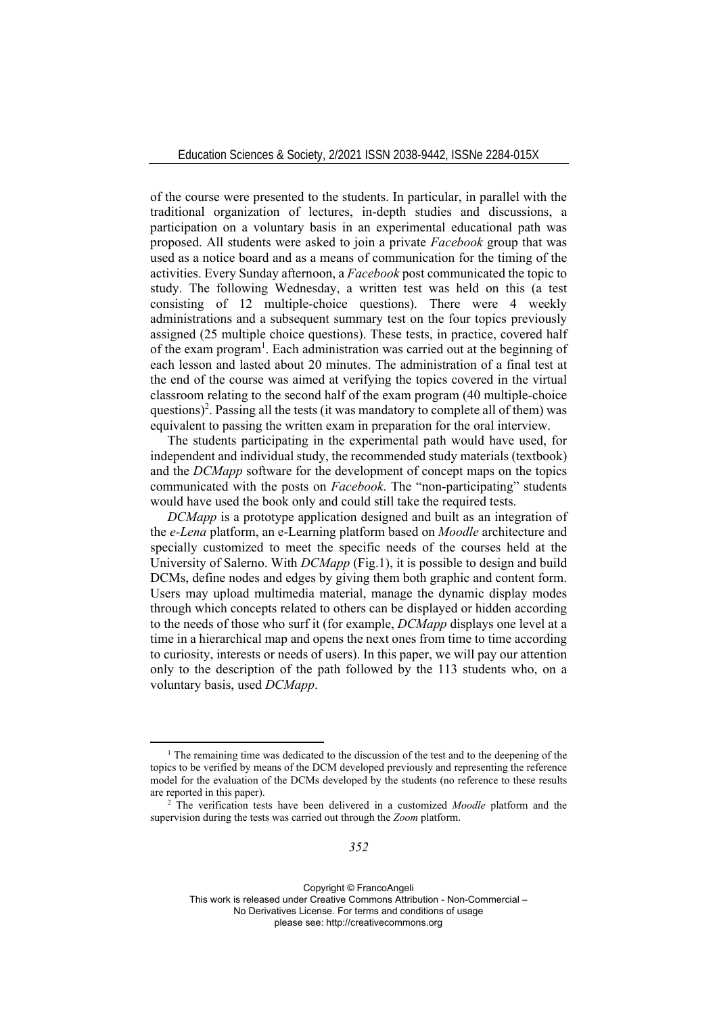of the course were presented to the students. In particular, in parallel with the traditional organization of lectures, in-depth studies and discussions, a participation on a voluntary basis in an experimental educational path was proposed. All students were asked to join a private *Facebook* group that was used as a notice board and as a means of communication for the timing of the activities. Every Sunday afternoon, a *Facebook* post communicated the topic to study. The following Wednesday, a written test was held on this (a test consisting of 12 multiple-choice questions). There were 4 weekly administrations and a subsequent summary test on the four topics previously assigned (25 multiple choice questions). These tests, in practice, covered half of the exam program<sup>1</sup>. Each administration was carried out at the beginning of each lesson and lasted about 20 minutes. The administration of a final test at the end of the course was aimed at verifying the topics covered in the virtual classroom relating to the second half of the exam program (40 multiple-choice questions)<sup>2</sup>. Passing all the tests (it was mandatory to complete all of them) was equivalent to passing the written exam in preparation for the oral interview.

The students participating in the experimental path would have used, for independent and individual study, the recommended study materials (textbook) and the *DCMapp* software for the development of concept maps on the topics communicated with the posts on *Facebook*. The "non-participating" students would have used the book only and could still take the required tests.

*DCMapp* is a prototype application designed and built as an integration of the *e-Lena* platform, an e-Learning platform based on *Moodle* architecture and specially customized to meet the specific needs of the courses held at the University of Salerno. With *DCMapp* (Fig.1), it is possible to design and build DCMs, define nodes and edges by giving them both graphic and content form. Users may upload multimedia material, manage the dynamic display modes through which concepts related to others can be displayed or hidden according to the needs of those who surf it (for example, *DCMapp* displays one level at a time in a hierarchical map and opens the next ones from time to time according to curiosity, interests or needs of users). In this paper, we will pay our attention only to the description of the path followed by the 113 students who, on a voluntary basis, used *DCMapp*.

Copyright © FrancoAngeli

This work is released under Creative Commons Attribution - Non-Commercial –

No Derivatives License. For terms and conditions of usage

please see: http://creativecommons.org

<sup>&</sup>lt;sup>1</sup> The remaining time was dedicated to the discussion of the test and to the deepening of the topics to be verified by means of the DCM developed previously and representing the reference model for the evaluation of the DCMs developed by the students (no reference to these results are reported in this paper). 2 The verification tests have been delivered in a customized *Moodle* platform and the

supervision during the tests was carried out through the *Zoom* platform.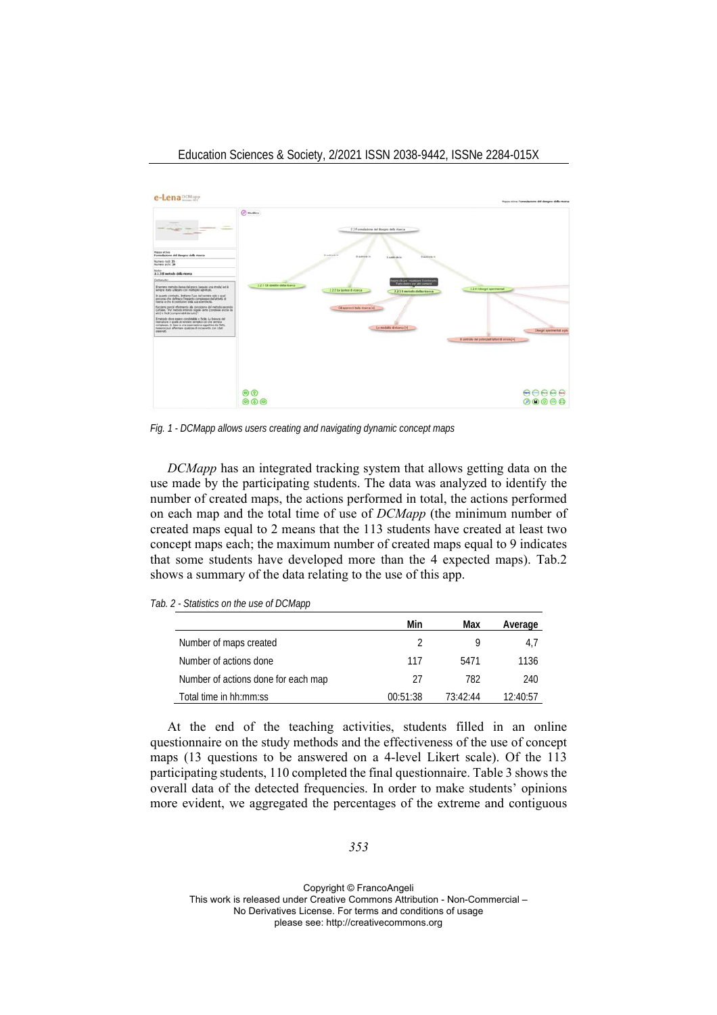



*Fig. 1 - DCMapp allows users creating and navigating dynamic concept maps* 

*DCMapp* has an integrated tracking system that allows getting data on the use made by the participating students. The data was analyzed to identify the number of created maps, the actions performed in total, the actions performed on each map and the total time of use of *DCMapp* (the minimum number of created maps equal to 2 means that the 113 students have created at least two concept maps each; the maximum number of created maps equal to 9 indicates that some students have developed more than the 4 expected maps). Tab.2 shows a summary of the data relating to the use of this app.

*Tab. 2 - Statistics on the use of DCMapp* 

|                                     | Min      | Max      | Average  |
|-------------------------------------|----------|----------|----------|
| Number of maps created              | 2        |          | 4.7      |
| Number of actions done              | 117      | 5471     | 1136     |
| Number of actions done for each map | 27       | 782      | 240      |
| Total time in hh:mm:ss              | 00:51:38 | 73:42:44 | 12.40.57 |

At the end of the teaching activities, students filled in an online questionnaire on the study methods and the effectiveness of the use of concept maps (13 questions to be answered on a 4-level Likert scale). Of the 113 participating students, 110 completed the final questionnaire. Table 3 shows the overall data of the detected frequencies. In order to make students' opinions more evident, we aggregated the percentages of the extreme and contiguous

*353*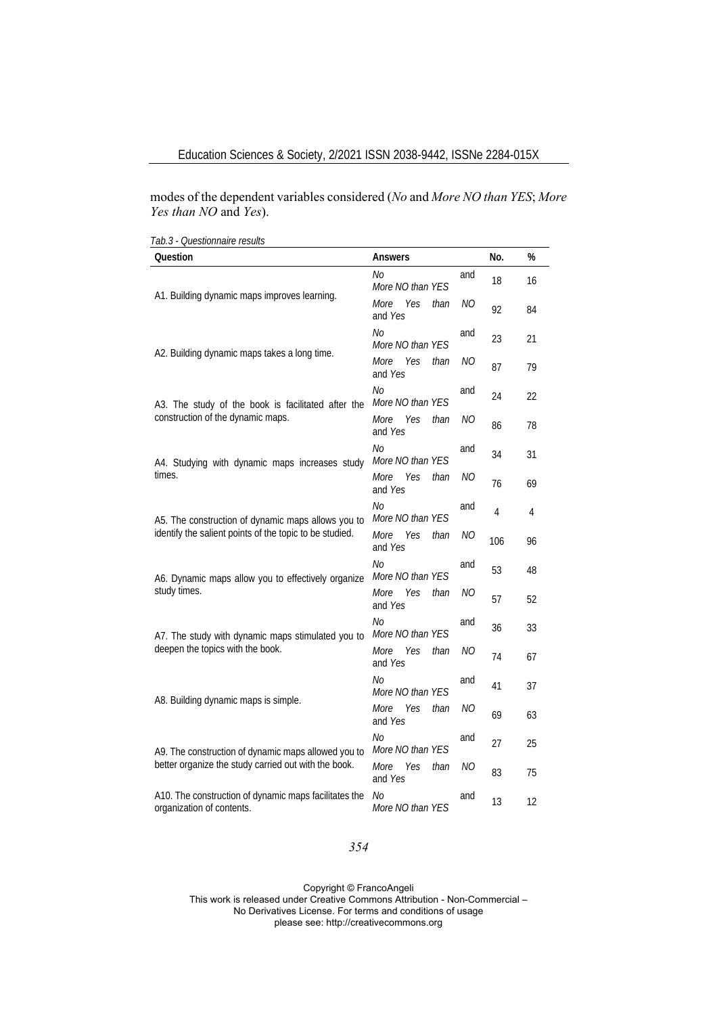modes of the dependent variables considered (*No* and *More NO than YES*; *More Yes than NO* and *Yes*).

| Tab.3 - Questionnaire results                                                                                 |                                       |     |     |      |
|---------------------------------------------------------------------------------------------------------------|---------------------------------------|-----|-----|------|
| Question                                                                                                      | Answers                               |     | No. | $\%$ |
| A1. Building dynamic maps improves learning.                                                                  | No<br>More NO than YES                | and | 18  | 16   |
|                                                                                                               | Yes<br>More<br>than<br>and Yes        | NΟ  | 92  | 84   |
|                                                                                                               | No<br>More NO than YES                | and | 23  | 21   |
| A2. Building dynamic maps takes a long time.                                                                  | Yes<br>than<br>More<br>and Yes        | NΟ  | 87  | 79   |
| A3. The study of the book is facilitated after the<br>construction of the dynamic maps.                       | No<br>More NO than YES                | and | 24  | 22   |
|                                                                                                               | More<br>Yes<br>than<br>and Yes        | NΟ  | 86  | 78   |
| A4. Studying with dynamic maps increases study<br>times.                                                      | No<br>More NO than YES                | and | 34  | 31   |
|                                                                                                               | More<br>Yes<br>than<br>and Yes        | NΟ  | 76  | 69   |
| A5. The construction of dynamic maps allows you to<br>identify the salient points of the topic to be studied. | No<br>More NO than YES                | and | 4   | 4    |
|                                                                                                               | More<br>Yes<br>than<br>and Yes        | NΟ  | 106 | 96   |
| A6. Dynamic maps allow you to effectively organize                                                            | No<br>More NO than YES                | and | 53  | 48   |
| study times.                                                                                                  | Yes<br><i>More</i><br>than<br>and Yes | ΝO  | 57  | 52   |
| A7. The study with dynamic maps stimulated you to                                                             | No<br>More NO than YES                | and | 36  | 33   |
| deepen the topics with the book.                                                                              | More<br>Yes<br>than<br>and Yes        | NΟ  | 74  | 67   |
| A8. Building dynamic maps is simple.                                                                          | No<br>More NO than YES                | and | 41  | 37   |
|                                                                                                               | More<br>Yes<br>than<br>and Yes        | ΝO  | 69  | 63   |
| A9. The construction of dynamic maps allowed you to                                                           | No<br>More NO than YES                | and | 27  | 25   |
| better organize the study carried out with the book.                                                          | More<br>Yes<br>than<br>and Yes        | NΟ  | 83  | 75   |
| A10. The construction of dynamic maps facilitates the<br>organization of contents.                            | No<br>More NO than YES                | and | 13  | 12   |

## *354*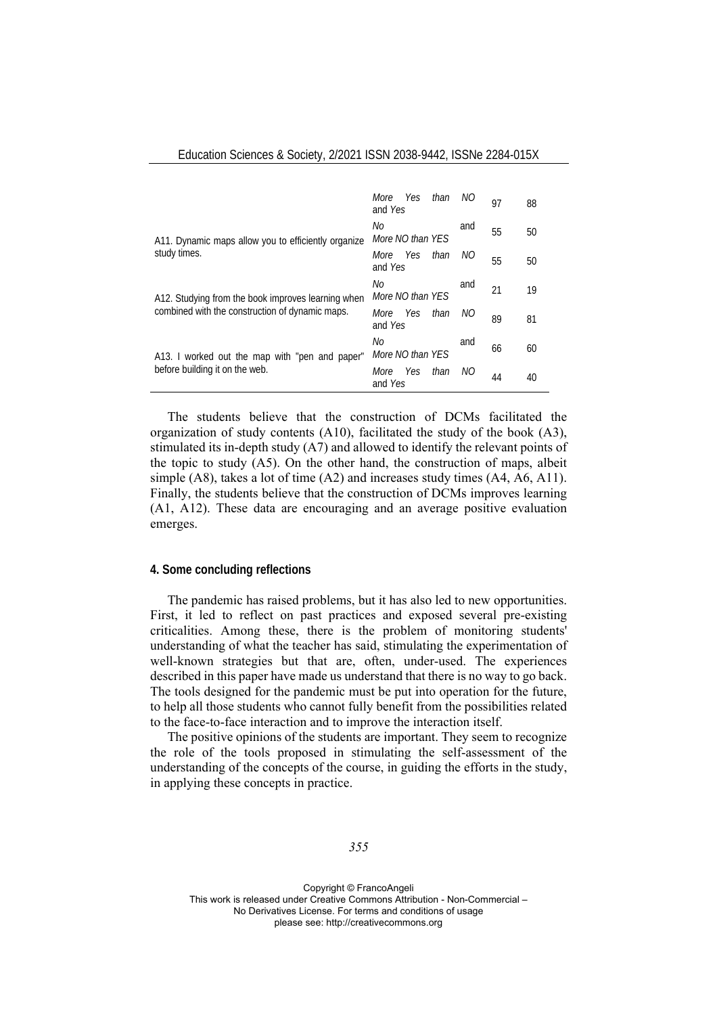|                                                                                                       | Yes than<br>More<br>and Yes    | NO  | 97 | 88 |
|-------------------------------------------------------------------------------------------------------|--------------------------------|-----|----|----|
| A11. Dynamic maps allow you to efficiently organize<br>study times.                                   | No<br>More NO than YES         | and | 55 | 50 |
|                                                                                                       | Yes than<br>More<br>and Yes    | NO  | 55 | 50 |
| A12. Studying from the book improves learning when<br>combined with the construction of dynamic maps. | No<br>More NO than YES         | and | 21 | 19 |
|                                                                                                       | Yes than<br>More<br>and Yes    | NO  | 89 | 81 |
| A13. I worked out the map with "pen and paper"<br>before building it on the web.                      | No<br>More NO than YES         | and | 66 | 60 |
|                                                                                                       | Yes<br>than<br>More<br>and Yes | NО  | 44 | 40 |

Education Sciences & Society, 2/2021 ISSN 2038-9442, ISSNe 2284-015X

The students believe that the construction of DCMs facilitated the organization of study contents (A10), facilitated the study of the book (A3), stimulated its in-depth study (A7) and allowed to identify the relevant points of the topic to study (A5). On the other hand, the construction of maps, albeit simple (A8), takes a lot of time (A2) and increases study times (A4, A6, A11). Finally, the students believe that the construction of DCMs improves learning (A1, A12). These data are encouraging and an average positive evaluation emerges.

#### **4. Some concluding reflections**

The pandemic has raised problems, but it has also led to new opportunities. First, it led to reflect on past practices and exposed several pre-existing criticalities. Among these, there is the problem of monitoring students' understanding of what the teacher has said, stimulating the experimentation of well-known strategies but that are, often, under-used. The experiences described in this paper have made us understand that there is no way to go back. The tools designed for the pandemic must be put into operation for the future, to help all those students who cannot fully benefit from the possibilities related to the face-to-face interaction and to improve the interaction itself.

The positive opinions of the students are important. They seem to recognize the role of the tools proposed in stimulating the self-assessment of the understanding of the concepts of the course, in guiding the efforts in the study, in applying these concepts in practice.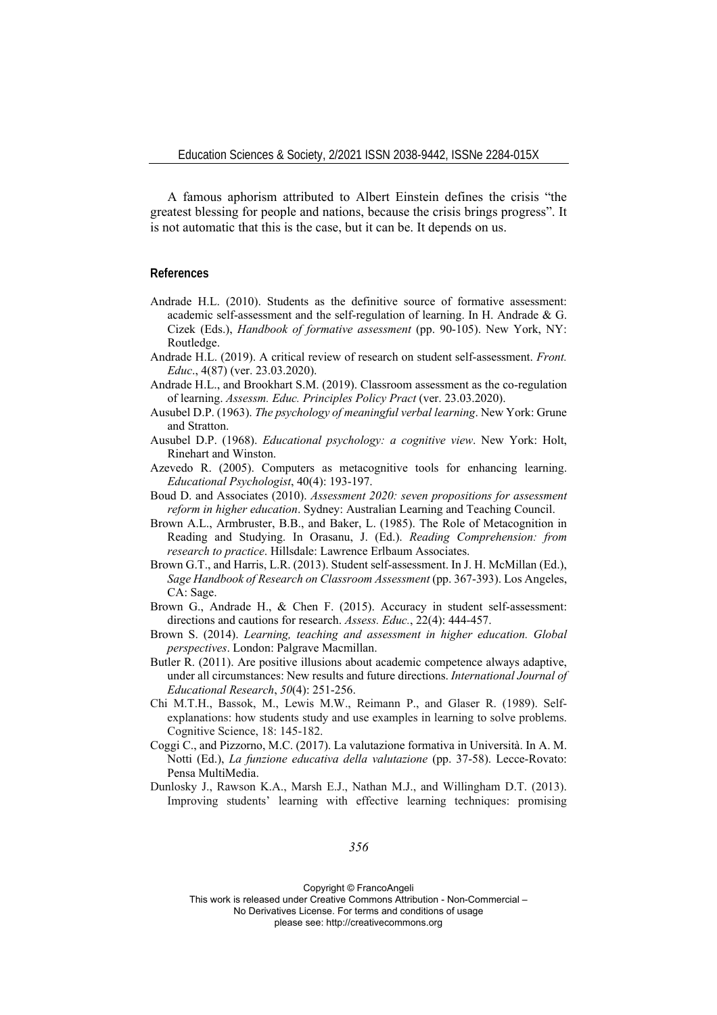A famous aphorism attributed to Albert Einstein defines the crisis "the greatest blessing for people and nations, because the crisis brings progress". It is not automatic that this is the case, but it can be. It depends on us.

#### **References**

- Andrade H.L. (2010). Students as the definitive source of formative assessment: academic self-assessment and the self-regulation of learning. In H. Andrade & G. Cizek (Eds.), *Handbook of formative assessment* (pp. 90-105). New York, NY: Routledge.
- Andrade H.L. (2019). A critical review of research on student self-assessment. *Front. Educ*., 4(87) (ver. 23.03.2020).
- Andrade H.L., and Brookhart S.M. (2019). Classroom assessment as the co-regulation of learning. *Assessm. Educ. Principles Policy Pract* (ver. 23.03.2020).
- Ausubel D.P. (1963). *The psychology of meaningful verbal learning*. New York: Grune and Stratton.
- Ausubel D.P. (1968). *Educational psychology: a cognitive view*. New York: Holt, Rinehart and Winston.
- Azevedo R. (2005). Computers as metacognitive tools for enhancing learning. *Educational Psychologist*, 40(4): 193-197.
- Boud D. and Associates (2010). *Assessment 2020: seven propositions for assessment reform in higher education*. Sydney: Australian Learning and Teaching Council.
- Brown A.L., Armbruster, B.B., and Baker, L. (1985). The Role of Metacognition in Reading and Studying. In Orasanu, J. (Ed.). *Reading Comprehension: from research to practice*. Hillsdale: Lawrence Erlbaum Associates.
- Brown G.T., and Harris, L.R. (2013). Student self-assessment. In J. H. McMillan (Ed.), *Sage Handbook of Research on Classroom Assessment* (pp. 367-393). Los Angeles, CA: Sage.
- Brown G., Andrade H., & Chen F. (2015). Accuracy in student self-assessment: directions and cautions for research. *Assess. Educ.*, 22(4): 444-457.
- Brown S. (2014). *Learning, teaching and assessment in higher education. Global perspectives*. London: Palgrave Macmillan.
- Butler R. (2011). Are positive illusions about academic competence always adaptive, under all circumstances: New results and future directions. *International Journal of Educational Research*, *50*(4): 251-256.
- Chi M.T.H., Bassok, M., Lewis M.W., Reimann P., and Glaser R. (1989). Selfexplanations: how students study and use examples in learning to solve problems. Cognitive Science, 18: 145-182.
- Coggi C., and Pizzorno, M.C. (2017). La valutazione formativa in Università. In A. M. Notti (Ed.), *La funzione educativa della valutazione* (pp. 37-58). Lecce-Rovato: Pensa MultiMedia.
- Dunlosky J., Rawson K.A., Marsh E.J., Nathan M.J., and Willingham D.T. (2013). Improving students' learning with effective learning techniques: promising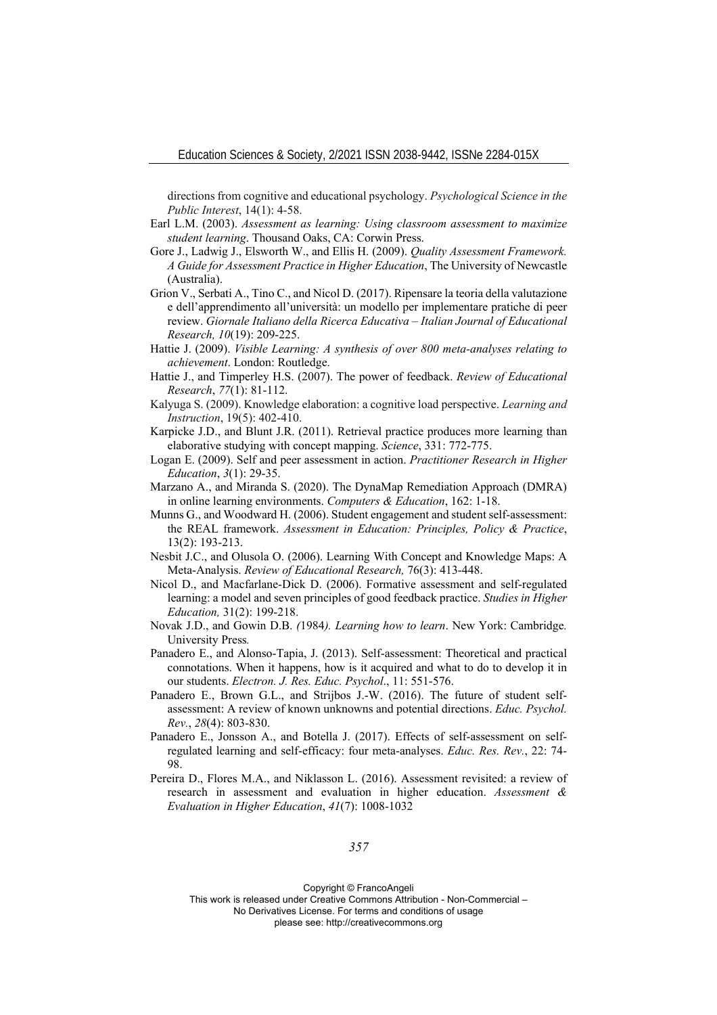directions from cognitive and educational psychology. *Psychological Science in the Public Interest*, 14(1): 4-58.

- Earl L.M. (2003). *Assessment as learning: Using classroom assessment to maximize student learning*. Thousand Oaks, CA: Corwin Press.
- Gore J., Ladwig J., Elsworth W., and Ellis H. (2009). *Quality Assessment Framework. A Guide for Assessment Practice in Higher Education*, The University of Newcastle (Australia).
- Grion V., Serbati A., Tino C., and Nicol D. (2017). Ripensare la teoria della valutazione e dell'apprendimento all'università: un modello per implementare pratiche di peer review. *Giornale Italiano della Ricerca Educativa – Italian Journal of Educational Research, 10*(19): 209-225.
- Hattie J. (2009). *Visible Learning: A synthesis of over 800 meta-analyses relating to achievement*. London: Routledge.
- Hattie J., and Timperley H.S. (2007). The power of feedback. *Review of Educational Research*, *77*(1): 81-112.
- Kalyuga S. (2009). Knowledge elaboration: a cognitive load perspective. *Learning and Instruction*, 19(5): 402-410.
- Karpicke J.D., and Blunt J.R. (2011). Retrieval practice produces more learning than elaborative studying with concept mapping. *Science*, 331: 772-775.
- Logan E. (2009). Self and peer assessment in action. *Practitioner Research in Higher Education*, *3*(1): 29-35.
- Marzano A., and Miranda S. (2020). The DynaMap Remediation Approach (DMRA) in online learning environments. *Computers & Education*, 162: 1-18.
- Munns G., and Woodward H. (2006). Student engagement and student self-assessment: the REAL framework. *Assessment in Education: Principles, Policy & Practice*, 13(2): 193-213.
- Nesbit J.C., and Olusola O. (2006). Learning With Concept and Knowledge Maps: A Meta-Analysis. *Review of Educational Research,* 76(3): 413-448.
- Nicol D., and Macfarlane-Dick D. (2006). Formative assessment and self-regulated learning: a model and seven principles of good feedback practice. *Studies in Higher Education,* 31(2): 199-218.
- Novak J.D., and Gowin D.B. *(*1984*). Learning how to learn*. New York: Cambridge*.*  University Press*.*
- Panadero E., and Alonso-Tapia, J. (2013). Self-assessment: Theoretical and practical connotations. When it happens, how is it acquired and what to do to develop it in our students. *Electron. J. Res. Educ. Psychol*., 11: 551-576.
- Panadero E., Brown G.L., and Strijbos J.-W. (2016). The future of student selfassessment: A review of known unknowns and potential directions. *Educ. Psychol. Rev.*, *28*(4): 803-830.
- Panadero E., Jonsson A., and Botella J. (2017). Effects of self-assessment on selfregulated learning and self-efficacy: four meta-analyses. *Educ. Res. Rev.*, 22: 74- 98.
- Pereira D., Flores M.A., and Niklasson L. (2016). Assessment revisited: a review of research in assessment and evaluation in higher education. *Assessment & Evaluation in Higher Education*, *41*(7): 1008-1032